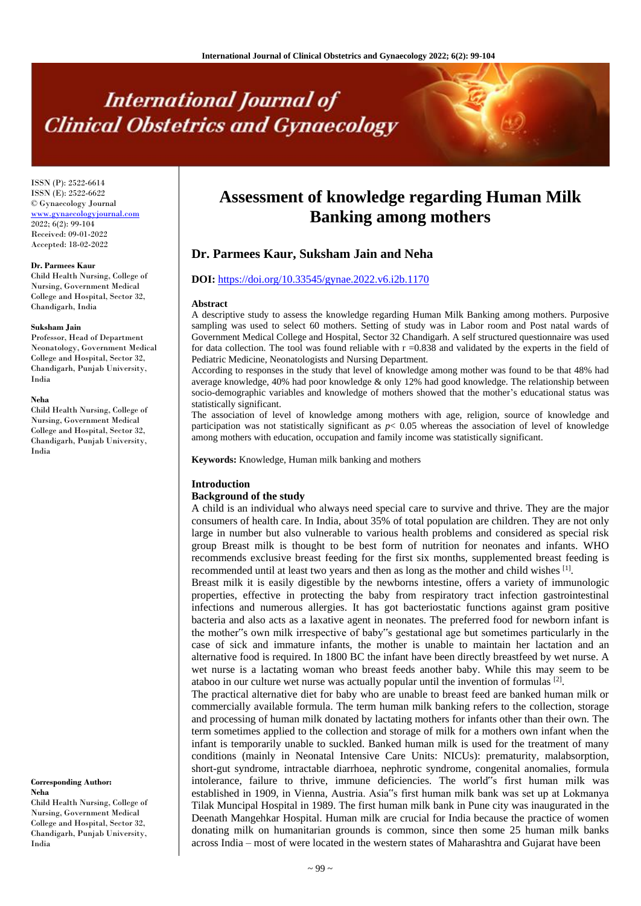# **International Journal of Clinical Obstetrics and Gynaecology**

ISSN (P): 2522-6614 ISSN (E): 2522-6622 © Gynaecology Journal [www.gynaecologyjournal.com](http://www.gynaecologyjournal.com/) 2022; 6(2): 99-104 Received: 09-01-2022 Accepted: 18-02-2022

#### **Dr. Parmees Kaur**

Child Health Nursing, College of Nursing, Government Medical College and Hospital, Sector 32, Chandigarh, India

#### **Suksham Jain**

Professor, Head of Department Neonatology, Government Medical College and Hospital, Sector 32, Chandigarh, Punjab University, India

#### **Neha**

Child Health Nursing, College of Nursing, Government Medical College and Hospital, Sector 32, Chandigarh, Punjab University, India

**Corresponding Author: Neha**

Child Health Nursing, College of Nursing, Government Medical College and Hospital, Sector 32, Chandigarh, Punjab University, India

# **Assessment of knowledge regarding Human Milk Banking among mothers**

# **Dr. Parmees Kaur, Suksham Jain and Neha**

### **DOI:** <https://doi.org/10.33545/gynae.2022.v6.i2b.1170>

#### **Abstract**

A descriptive study to assess the knowledge regarding Human Milk Banking among mothers. Purposive sampling was used to select 60 mothers. Setting of study was in Labor room and Post natal wards of Government Medical College and Hospital, Sector 32 Chandigarh. A self structured questionnaire was used for data collection. The tool was found reliable with  $r = 0.838$  and validated by the experts in the field of Pediatric Medicine, Neonatologists and Nursing Department.

According to responses in the study that level of knowledge among mother was found to be that 48% had average knowledge, 40% had poor knowledge & only 12% had good knowledge. The relationship between socio-demographic variables and knowledge of mothers showed that the mother's educational status was statistically significant.

The association of level of knowledge among mothers with age, religion, source of knowledge and participation was not statistically significant as *p*< 0.05 whereas the association of level of knowledge among mothers with education, occupation and family income was statistically significant.

**Keywords:** Knowledge, Human milk banking and mothers

#### **Introduction**

#### **Background of the study**

A child is an individual who always need special care to survive and thrive. They are the major consumers of health care. In India, about 35% of total population are children. They are not only large in number but also vulnerable to various health problems and considered as special risk group Breast milk is thought to be best form of nutrition for neonates and infants. WHO recommends exclusive breast feeding for the first six months, supplemented breast feeding is recommended until at least two years and then as long as the mother and child wishes [1].

Breast milk it is easily digestible by the newborns intestine, offers a variety of immunologic properties, effective in protecting the baby from respiratory tract infection gastrointestinal infections and numerous allergies. It has got bacteriostatic functions against gram positive bacteria and also acts as a laxative agent in neonates. The preferred food for newborn infant is the mother"s own milk irrespective of baby"s gestational age but sometimes particularly in the case of sick and immature infants, the mother is unable to maintain her lactation and an alternative food is required. In 1800 BC the infant have been directly breastfeed by wet nurse. A wet nurse is a lactating woman who breast feeds another baby. While this may seem to be ataboo in our culture wet nurse was actually popular until the invention of formulas  $[2]$ .

The practical alternative diet for baby who are unable to breast feed are banked human milk or commercially available formula. The term human milk banking refers to the collection, storage and processing of human milk donated by lactating mothers for infants other than their own. The term sometimes applied to the collection and storage of milk for a mothers own infant when the infant is temporarily unable to suckled. Banked human milk is used for the treatment of many conditions (mainly in Neonatal Intensive Care Units: NICUs): prematurity, malabsorption, short-gut syndrome, intractable diarrhoea, nephrotic syndrome, congenital anomalies, formula intolerance, failure to thrive, immune deficiencies. The world"s first human milk was established in 1909, in Vienna, Austria. Asia"s first human milk bank was set up at Lokmanya Tilak Muncipal Hospital in 1989. The first human milk bank in Pune city was inaugurated in the Deenath Mangehkar Hospital. Human milk are crucial for India because the practice of women donating milk on humanitarian grounds is common, since then some 25 human milk banks across India – most of were located in the western states of Maharashtra and Gujarat have been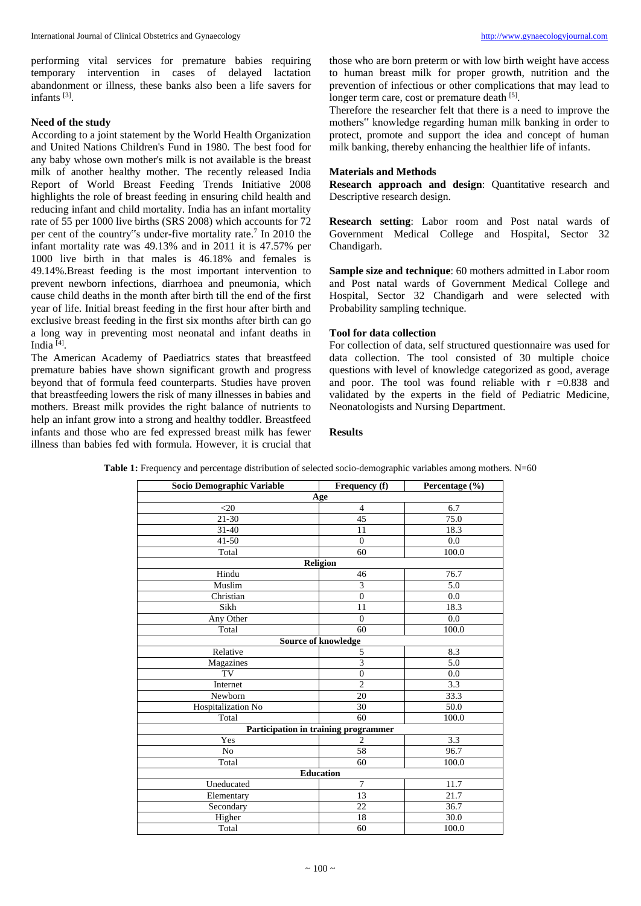performing vital services for premature babies requiring temporary intervention in cases of delayed lactation abandonment or illness, these banks also been a life savers for infants [3] .

# **Need of the study**

According to a joint statement by the World Health Organization and United Nations Children's Fund in 1980. The best food for any baby whose own mother's milk is not available is the breast milk of another healthy mother. The recently released India Report of World Breast Feeding Trends Initiative 2008 highlights the role of breast feeding in ensuring child health and reducing infant and child mortality. India has an infant mortality rate of 55 per 1000 live births (SRS 2008) which accounts for 72 per cent of the country"s under-five mortality rate.<sup>7</sup> In 2010 the infant mortality rate was 49.13% and in 2011 it is 47.57% per 1000 live birth in that males is 46.18% and females is 49.14%.Breast feeding is the most important intervention to prevent newborn infections, diarrhoea and pneumonia, which cause child deaths in the month after birth till the end of the first year of life. Initial breast feeding in the first hour after birth and exclusive breast feeding in the first six months after birth can go a long way in preventing most neonatal and infant deaths in India<sup>[4]</sup>.

The American Academy of Paediatrics states that breastfeed premature babies have shown significant growth and progress beyond that of formula feed counterparts. Studies have proven that breastfeeding lowers the risk of many illnesses in babies and mothers. Breast milk provides the right balance of nutrients to help an infant grow into a strong and healthy toddler. Breastfeed infants and those who are fed expressed breast milk has fewer illness than babies fed with formula. However, it is crucial that those who are born preterm or with low birth weight have access to human breast milk for proper growth, nutrition and the prevention of infectious or other complications that may lead to longer term care, cost or premature death [5].

Therefore the researcher felt that there is a need to improve the mothers" knowledge regarding human milk banking in order to protect, promote and support the idea and concept of human milk banking, thereby enhancing the healthier life of infants.

## **Materials and Methods**

**Research approach and design**: Quantitative research and Descriptive research design.

**Research setting**: Labor room and Post natal wards of Government Medical College and Hospital, Sector 32 Chandigarh.

**Sample size and technique**: 60 mothers admitted in Labor room and Post natal wards of Government Medical College and Hospital, Sector 32 Chandigarh and were selected with Probability sampling technique.

#### **Tool for data collection**

For collection of data, self structured questionnaire was used for data collection. The tool consisted of 30 multiple choice questions with level of knowledge categorized as good, average and poor. The tool was found reliable with  $r = 0.838$  and validated by the experts in the field of Pediatric Medicine, Neonatologists and Nursing Department.

# **Results**

| Socio Demographic Variable           | Frequency (f)  | Percentage (%) |  |  |  |  |  |
|--------------------------------------|----------------|----------------|--|--|--|--|--|
| Age                                  |                |                |  |  |  |  |  |
| $<$ 20                               | $\overline{4}$ | 6.7            |  |  |  |  |  |
| 21-30                                | 45             | 75.0           |  |  |  |  |  |
| $31 - 40$                            | 11             | 18.3           |  |  |  |  |  |
| $41 - 50$                            | $\theta$       | 0.0            |  |  |  |  |  |
| Total                                | 60             | 100.0          |  |  |  |  |  |
| Religion                             |                |                |  |  |  |  |  |
| Hindu                                | 46             | 76.7           |  |  |  |  |  |
| Muslim                               | 3              | 5.0            |  |  |  |  |  |
| Christian                            | $\overline{0}$ | 0.0            |  |  |  |  |  |
| Sikh                                 | 11             | 18.3           |  |  |  |  |  |
| Any Other                            | $\overline{0}$ | 0.0            |  |  |  |  |  |
| Total                                | 60             | 100.0          |  |  |  |  |  |
| <b>Source of knowledge</b>           |                |                |  |  |  |  |  |
| Relative                             | 5              | 8.3            |  |  |  |  |  |
| Magazines                            | 3              | 5.0            |  |  |  |  |  |
| TV                                   | $\overline{0}$ | 0.0            |  |  |  |  |  |
| Internet                             | $\overline{2}$ | 3.3            |  |  |  |  |  |
| Newborn                              | 20             | 33.3           |  |  |  |  |  |
| Hospitalization No                   | 30             | 50.0           |  |  |  |  |  |
| Total                                | 60             | 100.0          |  |  |  |  |  |
| Participation in training programmer |                |                |  |  |  |  |  |
| Yes                                  | $\overline{c}$ | 3.3            |  |  |  |  |  |
| No                                   | 58             | 96.7           |  |  |  |  |  |
| Total                                | 60             | 100.0          |  |  |  |  |  |
| <b>Education</b>                     |                |                |  |  |  |  |  |
| Uneducated                           | 7              | 11.7           |  |  |  |  |  |
| Elementary                           | 13             | 21.7           |  |  |  |  |  |
| Secondary                            | 22             | 36.7           |  |  |  |  |  |
| Higher                               | 18             | 30.0           |  |  |  |  |  |
| Total                                | 60             | 100.0          |  |  |  |  |  |

**Table 1:** Frequency and percentage distribution of selected socio-demographic variables among mothers. N=60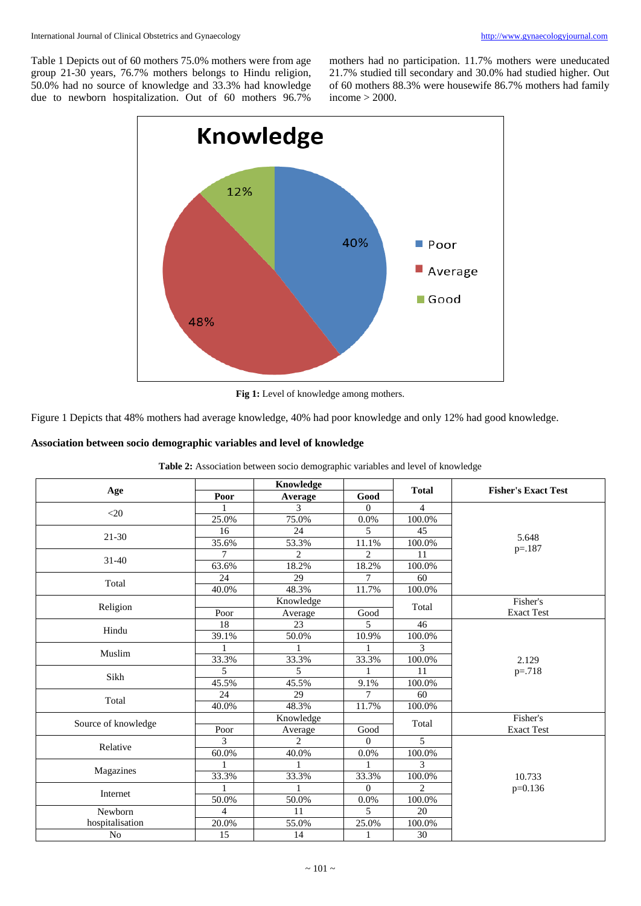Table 1 Depicts out of 60 mothers 75.0% mothers were from age group 21-30 years, 76.7% mothers belongs to Hindu religion, 50.0% had no source of knowledge and 33.3% had knowledge due to newborn hospitalization. Out of 60 mothers 96.7%

mothers had no participation. 11.7% mothers were uneducated 21.7% studied till secondary and 30.0% had studied higher. Out of 60 mothers 88.3% were housewife 86.7% mothers had family income > 2000.



**Fig 1:** Level of knowledge among mothers.

Figure 1 Depicts that 48% mothers had average knowledge, 40% had poor knowledge and only 12% had good knowledge.

#### **Association between socio demographic variables and level of knowledge**

| Age                 |                 | Knowledge      |                  |                |                            |
|---------------------|-----------------|----------------|------------------|----------------|----------------------------|
|                     | Poor            | Average        | Good             | <b>Total</b>   | <b>Fisher's Exact Test</b> |
|                     |                 | 3              | $\boldsymbol{0}$ | $\overline{4}$ |                            |
| $<$ 20              | 25.0%           | 75.0%          | 0.0%             | 100.0%         |                            |
| $21 - 30$           | 16              | 24             | 5                | 45             |                            |
|                     | 35.6%           | 53.3%          | 11.1%            | 100.0%         | 5.648                      |
| $31 - 40$           | $\tau$          | $\overline{2}$ | $\overline{2}$   | 11             | $p = 187$                  |
|                     | 63.6%           | 18.2%          | 18.2%            | 100.0%         |                            |
| Total               | 24              | 29             | 7                | 60             |                            |
|                     | 40.0%           | 48.3%          | 11.7%            | 100.0%         |                            |
| Religion            |                 | Knowledge      |                  |                | Fisher's                   |
|                     | Poor            | Average        | Good             | Total          | <b>Exact Test</b>          |
| Hindu               | 18              | 23             | 5                | 46             |                            |
|                     | 39.1%           | 50.0%          | 10.9%            | 100.0%         |                            |
| Muslim              |                 |                |                  | 3              |                            |
|                     | 33.3%           | 33.3%          | 33.3%            | 100.0%         | 2.129                      |
| Sikh                | 5               | 5              |                  | 11             | $p = 718$                  |
|                     | 45.5%           | 45.5%          | 9.1%             | 100.0%         |                            |
|                     | 24              | 29             | 7                | 60             |                            |
| Total               | 40.0%           | 48.3%          | 11.7%            | 100.0%         |                            |
| Source of knowledge |                 | Knowledge      |                  | Total          | Fisher's                   |
|                     | Poor            | Average        | Good             |                | <b>Exact Test</b>          |
| Relative            | 3               | $\overline{2}$ | $\Omega$         | 5              |                            |
|                     | 60.0%           | 40.0%          | 0.0%             | 100.0%         |                            |
| Magazines           |                 |                |                  | $\mathcal{F}$  |                            |
|                     | 33.3%           | 33.3%          | 33.3%            | 100.0%         | 10.733                     |
| Internet            |                 |                | $\theta$         | $\overline{2}$ | $p=0.136$                  |
|                     | 50.0%           | 50.0%          | 0.0%             | 100.0%         |                            |
| Newborn             | 4               | 11             | 5                | 20             |                            |
| hospitalisation     | 20.0%           | 55.0%          | 25.0%            | 100.0%         |                            |
| No                  | $\overline{15}$ | 14             | $\mathbf{1}$     | 30             |                            |

**Table 2:** Association between socio demographic variables and level of knowledge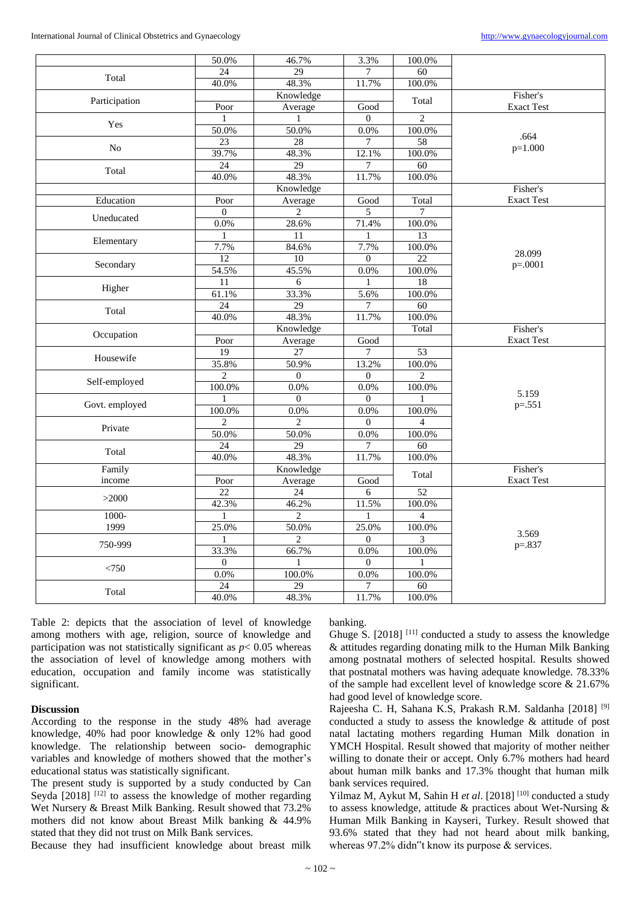|                | 50.0%          | 46.7%            | 3.3%           | 100.0%          |                   |
|----------------|----------------|------------------|----------------|-----------------|-------------------|
| Total          | 24             | 29               |                | $\overline{60}$ |                   |
|                | 40.0%          | 48.3%            | 11.7%          | 100.0%          |                   |
|                |                | Knowledge        |                | Total           | Fisher's          |
| Participation  | Poor           | Average          | Good           |                 | <b>Exact Test</b> |
|                | 1              | $\mathbf{1}$     | $\Omega$       | $\overline{2}$  |                   |
| Yes            | 50.0%          | 50.0%            | 0.0%           | 100.0%          | .664              |
| N <sub>o</sub> | 23             | 28               | 7              | 58              | $p=1.000$         |
|                | 39.7%          | 48.3%            | 12.1%          | 100.0%          |                   |
| Total          | 24             | 29               | $\tau$         | 60              |                   |
|                | 40.0%          | 48.3%            | 11.7%          | 100.0%          |                   |
|                |                | Knowledge        |                |                 | Fisher's          |
| Education      | Poor           | Average          | Good           | Total           | <b>Exact Test</b> |
| Uneducated     | $\Omega$       | $\overline{2}$   | 5              | $7\phantom{.0}$ |                   |
|                | 0.0%           | 28.6%            | 71.4%          | 100.0%          |                   |
| Elementary     |                | 11               |                | 13              |                   |
|                | 7.7%           | 84.6%            | 7.7%           | 100.0%          | 28.099            |
| Secondary      | 12             | 10               | $\Omega$       | 22              | $p=.0001$         |
|                | 54.5%          | 45.5%            | 0.0%           | 100.0%          |                   |
| Higher         | 11             | 6                | 1              | 18              |                   |
|                | 61.1%          | 33.3%            | 5.6%           | 100.0%          |                   |
| Total          | 24             | 29               | 7              | 60              |                   |
|                | 40.0%          | 48.3%            | 11.7%          | 100.0%          |                   |
| Occupation     |                | Knowledge        |                | Total           | Fisher's          |
|                | Poor           | Average          | Good           |                 | <b>Exact Test</b> |
| Housewife      | 19             | $\overline{27}$  | $\overline{7}$ | 53              |                   |
|                | 35.8%          | 50.9%            | 13.2%          | 100.0%          |                   |
| Self-employed  | $\overline{c}$ | $\boldsymbol{0}$ | $\mathbf{0}$   | $\overline{c}$  |                   |
|                | 100.0%         | 0.0%             | 0.0%           | 100.0%          | 5.159             |
| Govt. employed | ш              | $\overline{0}$   | $\mathbf{0}$   |                 | $p = 0.551$       |
|                | 100.0%         | 0.0%             | 0.0%           | 100.0%          |                   |
| Private        | $\overline{c}$ | $\overline{2}$   | $\mathbf{0}$   | $\overline{4}$  |                   |
|                | 50.0%          | 50.0%            | 0.0%           | 100.0%          |                   |
| Total          | 24             | 29               | 7              | 60              |                   |
|                | 40.0%          | 48.3%            | 11.7%          | 100.0%          |                   |
| Family         |                | Knowledge        |                | Total           | Fisher's          |
| income         | Poor           | Average          | Good           |                 | <b>Exact Test</b> |
| >2000          | 22             | 24               | 6              | 52              |                   |
|                | 42.3%          | 46.2%            | 11.5%          | 100.0%          |                   |
| $1000 -$       | 1              | $\overline{c}$   | 1              | $\overline{4}$  |                   |
| 1999           | 25.0%          | 50.0%            | 25.0%          | 100.0%          | 3.569             |
| 750-999        | 1              | $\overline{2}$   | $\overline{0}$ | 3               | $p=.837$          |
|                | 33.3%          | 66.7%            | $0.0\%$        | 100.0%          |                   |
| < 750          | $\mathbf{0}$   |                  | $\mathbf{0}$   | 1               |                   |
|                | 0.0%           | 100.0%           | 0.0%           | 100.0%          |                   |
| Total          | 24             | 29               | 7              | 60              |                   |
|                | 40.0%          | 48.3%            | 11.7%          | 100.0%          |                   |

Table 2: depicts that the association of level of knowledge among mothers with age, religion, source of knowledge and participation was not statistically significant as  $p < 0.05$  whereas the association of level of knowledge among mothers with education, occupation and family income was statistically significant.

#### **Discussion**

According to the response in the study 48% had average knowledge, 40% had poor knowledge & only 12% had good knowledge. The relationship between socio- demographic variables and knowledge of mothers showed that the mother's educational status was statistically significant.

The present study is supported by a study conducted by Can Seyda  $[2018]$ <sup>[12]</sup> to assess the knowledge of mother regarding Wet Nursery & Breast Milk Banking. Result showed that 73.2% mothers did not know about Breast Milk banking & 44.9% stated that they did not trust on Milk Bank services.

Because they had insufficient knowledge about breast milk

banking.

Ghuge S. [2018]<sup>[11]</sup> conducted a study to assess the knowledge & attitudes regarding donating milk to the Human Milk Banking among postnatal mothers of selected hospital. Results showed that postnatal mothers was having adequate knowledge. 78.33% of the sample had excellent level of knowledge score & 21.67% had good level of knowledge score.

Rajeesha C. H, Sahana K.S, Prakash R.M. Saldanha [2018] [9] conducted a study to assess the knowledge & attitude of post natal lactating mothers regarding Human Milk donation in YMCH Hospital. Result showed that majority of mother neither willing to donate their or accept. Only 6.7% mothers had heard about human milk banks and 17.3% thought that human milk bank services required.

Yilmaz M, Aykut M, Sahin H et al. [2018]<sup>[10]</sup> conducted a study to assess knowledge, attitude & practices about Wet-Nursing & Human Milk Banking in Kayseri, Turkey. Result showed that 93.6% stated that they had not heard about milk banking, whereas 97.2% didn"t know its purpose & services.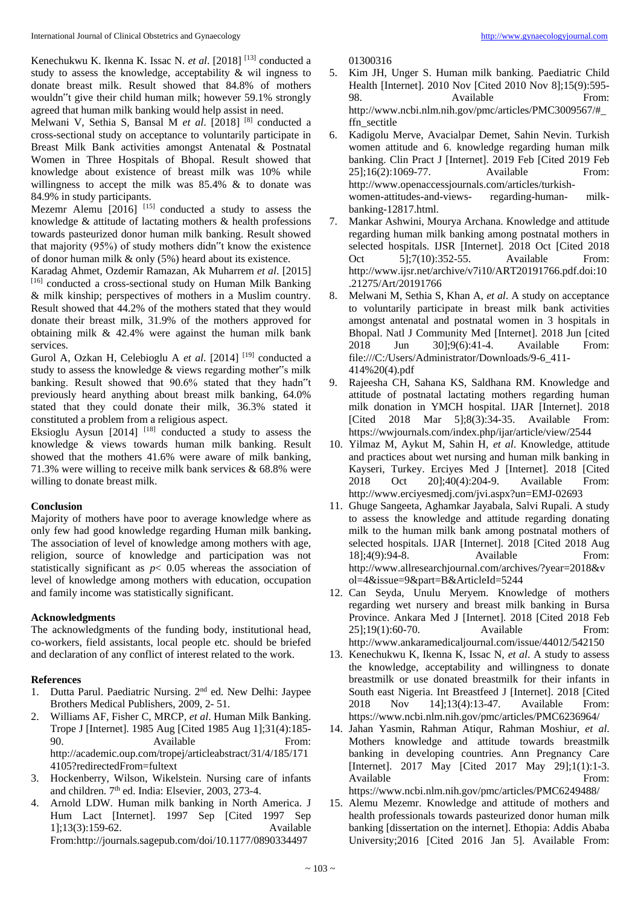Kenechukwu K. Ikenna K. Issac N. *et al*. [2018]<sup>[13]</sup> conducted a study to assess the knowledge, acceptability & wil ingness to donate breast milk. Result showed that 84.8% of mothers wouldn"t give their child human milk; however 59.1% strongly agreed that human milk banking would help assist in need.

Melwani V, Sethia S, Bansal M et al. [2018]<sup>[8]</sup> conducted a cross-sectional study on acceptance to voluntarily participate in Breast Milk Bank activities amongst Antenatal & Postnatal Women in Three Hospitals of Bhopal. Result showed that knowledge about existence of breast milk was 10% while willingness to accept the milk was 85.4% & to donate was 84.9% in study participants.

Mezemr Alemu  $[2016]$ <sup>[15]</sup> conducted a study to assess the knowledge & attitude of lactating mothers & health professions towards pasteurized donor human milk banking. Result showed that majority (95%) of study mothers didn"t know the existence of donor human milk & only (5%) heard about its existence.

Karadag Ahmet, Ozdemir Ramazan, Ak Muharrem *et al*. [2015] [16] conducted a cross-sectional study on Human Milk Banking & milk kinship; perspectives of mothers in a Muslim country. Result showed that 44.2% of the mothers stated that they would donate their breast milk, 31.9% of the mothers approved for obtaining milk & 42.4% were against the human milk bank services.

Gurol A, Ozkan H, Celebioglu A et al. [2014]<sup>[19]</sup> conducted a study to assess the knowledge & views regarding mother"s milk banking. Result showed that 90.6% stated that they hadn"t previously heard anything about breast milk banking, 64.0% stated that they could donate their milk, 36.3% stated it constituted a problem from a religious aspect.

Eksioglu Aysun  $[2014]$ <sup>[18]</sup> conducted a study to assess the knowledge & views towards human milk banking. Result showed that the mothers 41.6% were aware of milk banking, 71.3% were willing to receive milk bank services & 68.8% were willing to donate breast milk.

#### **Conclusion**

Majority of mothers have poor to average knowledge where as only few had good knowledge regarding Human milk banking**.**  The association of level of knowledge among mothers with age, religion, source of knowledge and participation was not statistically significant as  $p < 0.05$  whereas the association of level of knowledge among mothers with education, occupation and family income was statistically significant.

# **Acknowledgments**

The acknowledgments of the funding body, institutional head, co-workers, field assistants, local people etc. should be briefed and declaration of any conflict of interest related to the work.

### **References**

- 1. Dutta Parul. Paediatric Nursing. 2<sup>nd</sup> ed. New Delhi: Jaypee Brothers Medical Publishers, 2009, 2- 51.
- 2. Williams AF, Fisher C, MRCP, *et al*. Human Milk Banking. Trope J [Internet]. 1985 Aug [Cited 1985 Aug 1];31(4):185- 90. Available From: http://academic.oup.com/tropej/articleabstract/31/4/185/171 4105?redirectedFrom=fultext
- 3. Hockenberry, Wilson, Wikelstein. Nursing care of infants and children. 7<sup>th</sup> ed. India: Elsevier, 2003, 273-4.
- 4. Arnold LDW. Human milk banking in North America. J Hum Lact [Internet]. 1997 Sep [Cited 1997 Sep 1];13(3):159-62. Available From:http://journals.sagepub.com/doi/10.1177/0890334497

01300316

- 5. Kim JH, Unger S. Human milk banking. Paediatric Child Health [Internet]. 2010 Nov [Cited 2010 Nov 8];15(9):595- 98. Available From: http://www.ncbi.nlm.nih.gov/pmc/articles/PMC3009567/#\_ ffn\_sectitle
- 6. Kadigolu Merve, Avacialpar Demet, Sahin Nevin. Turkish women attitude and 6. knowledge regarding human milk banking. Clin Pract J [Internet]. 2019 Feb [Cited 2019 Feb 25]:16(2):1069-77. Available From: http://www.openaccessjournals.com/articles/turkishwomen-attitudes-and-views- regarding-human- milkbanking-12817.html.
- 7. Mankar Ashwini, Mourya Archana. Knowledge and attitude regarding human milk banking among postnatal mothers in selected hospitals. IJSR [Internet]. 2018 Oct [Cited 2018 Oct 5]:7(10):352-55. Available From: http://www.ijsr.net/archive/v7i10/ART20191766.pdf.doi:10 .21275/Art/20191766
- 8. Melwani M, Sethia S, Khan A, *et al*. A study on acceptance to voluntarily participate in breast milk bank activities amongst antenatal and postnatal women in 3 hospitals in Bhopal. Natl J Community Med [Internet]. 2018 Jun [cited 2018 Jun 30];9(6):41-4. Available From: file:///C:/Users/Administrator/Downloads/9-6\_411- 414%20(4).pdf
- 9. Rajeesha CH, Sahana KS, Saldhana RM. Knowledge and attitude of postnatal lactating mothers regarding human milk donation in YMCH hospital. IJAR [Internet]. 2018 [Cited 2018 Mar 5];8(3):34-35. Available From: https://wwjournals.com/index.php/ijar/article/view/2544
- 10. Yilmaz M, Aykut M, Sahin H, *et al*. Knowledge, attitude and practices about wet nursing and human milk banking in Kayseri, Turkey. Erciyes Med J [Internet]. 2018 [Cited 2018 Oct 20];40(4):204-9. Available From: http://www.erciyesmedj.com/jvi.aspx?un=EMJ-02693
- 11. Ghuge Sangeeta, Aghamkar Jayabala, Salvi Rupali. A study to assess the knowledge and attitude regarding donating milk to the human milk bank among postnatal mothers of selected hospitals. IJAR [Internet]. 2018 [Cited 2018 Aug 18];4(9):94-8. Available From: http://www.allresearchjournal.com/archives/?year=2018&v ol=4&issue=9&part=B&ArticleId=5244
- 12. Can Seyda, Unulu Meryem. Knowledge of mothers regarding wet nursery and breast milk banking in Bursa Province. Ankara Med J [Internet]. 2018 [Cited 2018 Feb 25];19(1):60-70. Available From: http://www.ankaramedicaljournal.com/issue/44012/542150
- 13. Kenechukwu K, Ikenna K, Issac N, *et al*. A study to assess the knowledge, acceptability and willingness to donate breastmilk or use donated breastmilk for their infants in South east Nigeria. Int Breastfeed J [Internet]. 2018 [Cited 2018 Nov 14];13(4):13-47. Available From: https://www.ncbi.nlm.nih.gov/pmc/articles/PMC6236964/
- 14. Jahan Yasmin, Rahman Atiqur, Rahman Moshiur, *et al*. Mothers knowledge and attitude towards breastmilk banking in developing countries. Ann Pregnancy Care [Internet]. 2017 May [Cited 2017 May 29];1(1):1-3. Available From: https://www.ncbi.nlm.nih.gov/pmc/articles/PMC6249488/
- 15. Alemu Mezemr. Knowledge and attitude of mothers and health professionals towards pasteurized donor human milk banking [dissertation on the internet]. Ethopia: Addis Ababa University;2016 [Cited 2016 Jan 5]. Available From: